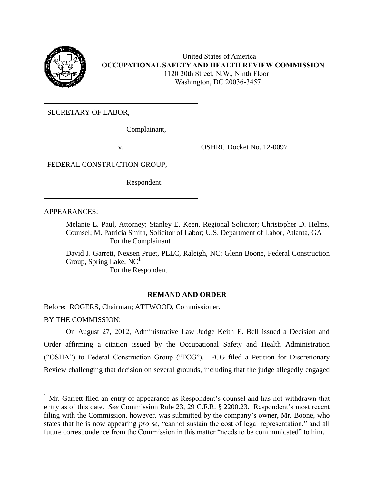

 United States of America **OCCUPATIONAL SAFETY AND HEALTH REVIEW COMMISSION** 1120 20th Street, N.W., Ninth Floor Washington, DC 20036-3457

SECRETARY OF LABOR,

Complainant,

v. SOLUTE:  $\sim$  OSHRC Docket No. 12-0097

FEDERAL CONSTRUCTION GROUP,

Respondent.

APPEARANCES:

Melanie L. Paul, Attorney; Stanley E. Keen, Regional Solicitor; Christopher D. Helms, Counsel; M. Patricia Smith, Solicitor of Labor; U.S. Department of Labor, Atlanta, GA For the Complainant

David J. Garrett, Nexsen Pruet, PLLC, Raleigh, NC; Glenn Boone, Federal Construction Group, Spring Lake,  $NC<sup>1</sup>$ 

For the Respondent

# **REMAND AND ORDER**

Before: ROGERS, Chairman; ATTWOOD, Commissioner.

BY THE COMMISSION:

l

On August 27, 2012, Administrative Law Judge Keith E. Bell issued a Decision and Order affirming a citation issued by the Occupational Safety and Health Administration ("OSHA") to Federal Construction Group ("FCG"). FCG filed a Petition for Discretionary Review challenging that decision on several grounds, including that the judge allegedly engaged

 $1$  Mr. Garrett filed an entry of appearance as Respondent's counsel and has not withdrawn that entry as of this date. *See* Commission Rule 23, 29 C.F.R. § 2200.23. Respondent's most recent filing with the Commission, however, was submitted by the company's owner, Mr. Boone, who states that he is now appearing *pro se*, "cannot sustain the cost of legal representation," and all future correspondence from the Commission in this matter "needs to be communicated" to him.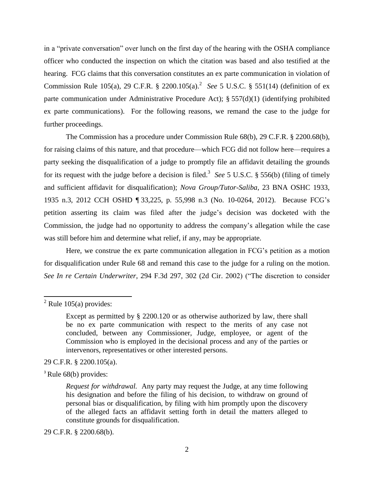in a "private conversation" over lunch on the first day of the hearing with the OSHA compliance officer who conducted the inspection on which the citation was based and also testified at the hearing. FCG claims that this conversation constitutes an ex parte communication in violation of Commission Rule 105(a), 29 C.F.R. § 2200.105(a).<sup>2</sup> See 5 U.S.C. § 551(14) (definition of ex parte communication under Administrative Procedure Act); § 557(d)(1) (identifying prohibited ex parte communications). For the following reasons, we remand the case to the judge for further proceedings.

The Commission has a procedure under Commission Rule 68(b), 29 C.F.R. § 2200.68(b), for raising claims of this nature, and that procedure—which FCG did not follow here—requires a party seeking the disqualification of a judge to promptly file an affidavit detailing the grounds for its request with the judge before a decision is filed. 3 *See* 5 U.S.C. § 556(b) (filing of timely and sufficient affidavit for disqualification); *Nova Group/Tutor-Saliba*, 23 BNA OSHC 1933, 1935 n.3, 2012 CCH OSHD ¶ 33,225, p. 55,998 n.3 (No. 10-0264, 2012). Because FCG's petition asserting its claim was filed after the judge's decision was docketed with the Commission, the judge had no opportunity to address the company's allegation while the case was still before him and determine what relief, if any, may be appropriate.

Here, we construe the ex parte communication allegation in FCG's petition as a motion for disqualification under Rule 68 and remand this case to the judge for a ruling on the motion. *See In re Certain Underwriter*, 294 F.3d 297, 302 (2d Cir. 2002) ("The discretion to consider

 $\overline{\phantom{a}}$ 

29 C.F.R. § 2200.105(a).

<sup>3</sup> Rule 68(b) provides:

29 C.F.R. § 2200.68(b).

 $2^2$  Rule 105(a) provides:

Except as permitted by § 2200.120 or as otherwise authorized by law, there shall be no ex parte communication with respect to the merits of any case not concluded, between any Commissioner, Judge, employee, or agent of the Commission who is employed in the decisional process and any of the parties or intervenors, representatives or other interested persons.

*Request for withdrawal.* Any party may request the Judge, at any time following his designation and before the filing of his decision, to withdraw on ground of personal bias or disqualification, by filing with him promptly upon the discovery of the alleged facts an affidavit setting forth in detail the matters alleged to constitute grounds for disqualification.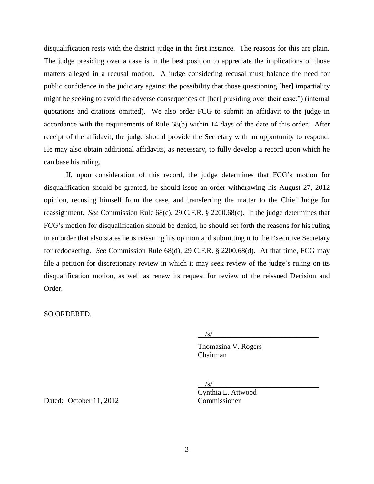disqualification rests with the district judge in the first instance. The reasons for this are plain. The judge presiding over a case is in the best position to appreciate the implications of those matters alleged in a recusal motion. A judge considering recusal must balance the need for public confidence in the judiciary against the possibility that those questioning [her] impartiality might be seeking to avoid the adverse consequences of [her] presiding over their case.") (internal quotations and citations omitted). We also order FCG to submit an affidavit to the judge in accordance with the requirements of Rule 68(b) within 14 days of the date of this order. After receipt of the affidavit, the judge should provide the Secretary with an opportunity to respond. He may also obtain additional affidavits, as necessary, to fully develop a record upon which he can base his ruling.

If, upon consideration of this record, the judge determines that FCG's motion for disqualification should be granted, he should issue an order withdrawing his August 27, 2012 opinion, recusing himself from the case, and transferring the matter to the Chief Judge for reassignment. *See* Commission Rule 68(c), 29 C.F.R. § 2200.68(c). If the judge determines that FCG's motion for disqualification should be denied, he should set forth the reasons for his ruling in an order that also states he is reissuing his opinion and submitting it to the Executive Secretary for redocketing. *See* Commission Rule 68(d), 29 C.F.R. § 2200.68(d). At that time, FCG may file a petition for discretionary review in which it may seek review of the judge's ruling on its disqualification motion, as well as renew its request for review of the reissued Decision and Order.

SO ORDERED.

 $\sqrt{s/}$ 

Thomasina V. Rogers Chairman

 $\sqrt{s/2}$ 

Cynthia L. Attwood

Dated: October 11, 2012 Commissioner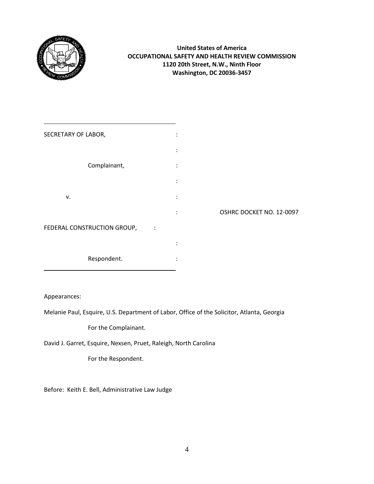

# **United States of America OCCUPATIONAL SAFETY AND HEALTH REVIEW COMMISSION 1120 20th Street, N.W., Ninth Floor Washington, DC 20036-3457**

| SECRETARY OF LABOR,                           | ٠<br>$\bullet$       |                          |
|-----------------------------------------------|----------------------|--------------------------|
|                                               |                      |                          |
| Complainant,                                  | $\ddot{\phantom{a}}$ |                          |
|                                               | $\ddot{\cdot}$       |                          |
| v.                                            | ٠                    |                          |
|                                               | $\ddot{\phantom{a}}$ | OSHRC DOCKET NO. 12-0097 |
| FEDERAL CONSTRUCTION GROUP,<br>$\ddot{\cdot}$ |                      |                          |
|                                               |                      |                          |
| Respondent.                                   | ٠                    |                          |
|                                               |                      |                          |

Appearances:

Melanie Paul, Esquire, U.S. Department of Labor, Office of the Solicitor, Atlanta, Georgia

For the Complainant.

David J. Garret, Esquire, Nexsen, Pruet, Raleigh, North Carolina

For the Respondent.

Before: Keith E. Bell, Administrative Law Judge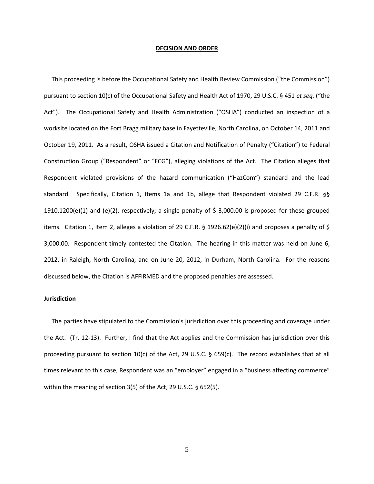#### **DECISION AND ORDER**

 This proceeding is before the Occupational Safety and Health Review Commission ("the Commission") pursuant to section 10(c) of the Occupational Safety and Health Act of 1970, 29 U.S.C. § 451 *et seq.* ("the Act"). The Occupational Safety and Health Administration ("OSHA") conducted an inspection of a worksite located on the Fort Bragg military base in Fayetteville, North Carolina, on October 14, 2011 and October 19, 2011. As a result, OSHA issued a Citation and Notification of Penalty ("Citation") to Federal Construction Group ("Respondent" or "FCG"), alleging violations of the Act. The Citation alleges that Respondent violated provisions of the hazard communication ("HazCom") standard and the lead standard. Specifically, Citation 1, Items 1a and 1b, allege that Respondent violated 29 C.F.R. §§ 1910.1200(e)(1) and (e)(2), respectively; a single penalty of \$ 3,000.00 is proposed for these grouped items. Citation 1, Item 2, alleges a violation of 29 C.F.R. § 1926.62(e)(2)(i) and proposes a penalty of \$ 3,000.00. Respondent timely contested the Citation. The hearing in this matter was held on June 6, 2012, in Raleigh, North Carolina, and on June 20, 2012, in Durham, North Carolina. For the reasons discussed below, the Citation is AFFIRMED and the proposed penalties are assessed.

## **Jurisdiction**

The parties have stipulated to the Commission's jurisdiction over this proceeding and coverage under the Act. (Tr. 12-13). Further, I find that the Act applies and the Commission has jurisdiction over this proceeding pursuant to section 10(c) of the Act, 29 U.S.C. § 659(c). The record establishes that at all times relevant to this case, Respondent was an "employer" engaged in a "business affecting commerce" within the meaning of section 3(5) of the Act, 29 U.S.C. § 652(5).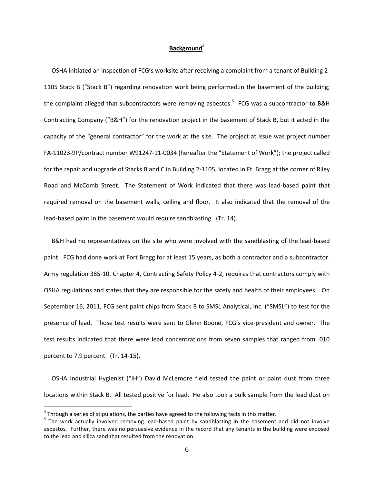## Background<sup>4</sup>

OSHA initiated an inspection of FCG's worksite after receiving a complaint from a tenant of Building 2- 1105 Stack B ("Stack B") regarding renovation work being performed.in the basement of the building; the complaint alleged that subcontractors were removing asbestos.<sup>5</sup> FCG was a subcontractor to B&H Contracting Company ("B&H") for the renovation project in the basement of Stack B, but it acted in the capacity of the "general contractor" for the work at the site. The project at issue was project number FA-11023-9P/contract number W91247-11-0034 (hereafter the "Statement of Work"); the project called for the repair and upgrade of Stacks B and C in Building 2-1105, located in Ft. Bragg at the corner of Riley Road and McComb Street. The Statement of Work indicated that there was lead-based paint that required removal on the basement walls, ceiling and floor. It also indicated that the removal of the lead-based paint in the basement would require sandblasting. (Tr. 14).

 B&H had no representatives on the site who were involved with the sandblasting of the lead-based paint. FCG had done work at Fort Bragg for at least 15 years, as both a contractor and a subcontractor. Army regulation 385-10, Chapter 4, Contracting Safety Policy 4-2, requires that contractors comply with OSHA regulations and states that they are responsible for the safety and health of their employees. On September 16, 2011, FCG sent paint chips from Stack B to SMSL Analytical, Inc. ("SMSL") to test for the presence of lead. Those test results were sent to Glenn Boone, FCG's vice-president and owner. The test results indicated that there were lead concentrations from seven samples that ranged from .010 percent to 7.9 percent. (Tr. 14-15).

 OSHA Industrial Hygienist ("IH") David McLemore field tested the paint or paint dust from three locations within Stack B. All tested positive for lead. He also took a bulk sample from the lead dust on

 $\overline{a}$ 

 $^4$  Through a series of stipulations, the parties have agreed to the following facts in this matter.

<sup>&</sup>lt;sup>5</sup> The work actually involved removing lead-based paint by sandblasting in the basement and did not involve asbestos. Further, there was no persuasive evidence in the record that any tenants in the building were exposed to the lead and silica sand that resulted from the renovation.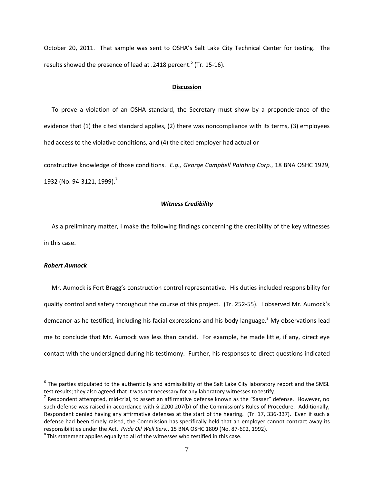October 20, 2011. That sample was sent to OSHA's Salt Lake City Technical Center for testing. The results showed the presence of lead at .2418 percent.<sup>6</sup> (Tr. 15-16).

## **Discussion**

 To prove a violation of an OSHA standard, the Secretary must show by a preponderance of the evidence that (1) the cited standard applies, (2) there was noncompliance with its terms, (3) employees had access to the violative conditions, and (4) the cited employer had actual or

constructive knowledge of those conditions. *E.g., George Campbell Painting Corp.*, 18 BNA OSHC 1929, 1932 (No. 94-3121, 1999).<sup>7</sup>

## *Witness Credibility*

As a preliminary matter, I make the following findings concerning the credibility of the key witnesses in this case.

## *Robert Aumock*

 $\overline{\phantom{a}}$ 

 Mr. Aumock is Fort Bragg's construction control representative. His duties included responsibility for quality control and safety throughout the course of this project. (Tr. 252-55). I observed Mr. Aumock's demeanor as he testified, including his facial expressions and his body language.<sup>8</sup> My observations lead me to conclude that Mr. Aumock was less than candid. For example, he made little, if any, direct eye contact with the undersigned during his testimony. Further, his responses to direct questions indicated

 $^6$  The parties stipulated to the authenticity and admissibility of the Salt Lake City laboratory report and the SMSL test results; they also agreed that it was not necessary for any laboratory witnesses to testify.

 $^7$  Respondent attempted, mid-trial, to assert an affirmative defense known as the "Sasser" defense. However, no such defense was raised in accordance with § 2200.207(b) of the Commission's Rules of Procedure. Additionally, Respondent denied having any affirmative defenses at the start of the hearing. (Tr. 17, 336-337). Even if such a defense had been timely raised, the Commission has specifically held that an employer cannot contract away its responsibilities under the Act. *Pride Oil Well Serv.*, 15 BNA OSHC 1809 (No. 87-692, 1992).

 ${}^{8}$ This statement applies equally to all of the witnesses who testified in this case.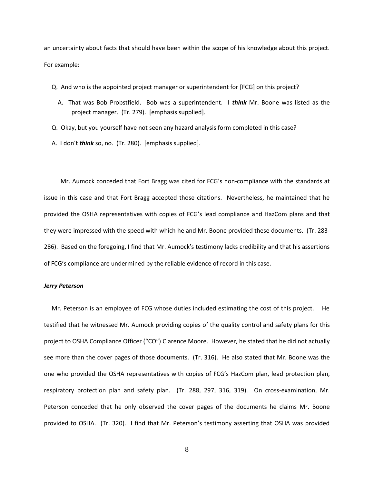an uncertainty about facts that should have been within the scope of his knowledge about this project. For example:

- Q. And who is the appointed project manager or superintendent for [FCG] on this project?
	- A. That was Bob Probstfield. Bob was a superintendent. I *think* Mr. Boone was listed as the project manager. (Tr. 279). [emphasis supplied].
- Q. Okay, but you yourself have not seen any hazard analysis form completed in this case?
- A. I don't *think* so, no. (Tr. 280). [emphasis supplied].

Mr. Aumock conceded that Fort Bragg was cited for FCG's non-compliance with the standards at issue in this case and that Fort Bragg accepted those citations. Nevertheless, he maintained that he provided the OSHA representatives with copies of FCG's lead compliance and HazCom plans and that they were impressed with the speed with which he and Mr. Boone provided these documents. (Tr. 283- 286). Based on the foregoing, I find that Mr. Aumock's testimony lacks credibility and that his assertions of FCG's compliance are undermined by the reliable evidence of record in this case.

## *Jerry Peterson*

 Mr. Peterson is an employee of FCG whose duties included estimating the cost of this project. He testified that he witnessed Mr. Aumock providing copies of the quality control and safety plans for this project to OSHA Compliance Officer ("CO") Clarence Moore. However, he stated that he did not actually see more than the cover pages of those documents. (Tr. 316). He also stated that Mr. Boone was the one who provided the OSHA representatives with copies of FCG's HazCom plan, lead protection plan, respiratory protection plan and safety plan. (Tr. 288, 297, 316, 319). On cross-examination, Mr. Peterson conceded that he only observed the cover pages of the documents he claims Mr. Boone provided to OSHA. (Tr. 320). I find that Mr. Peterson's testimony asserting that OSHA was provided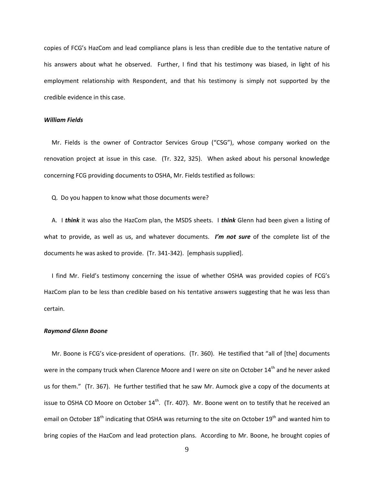copies of FCG's HazCom and lead compliance plans is less than credible due to the tentative nature of his answers about what he observed. Further, I find that his testimony was biased, in light of his employment relationship with Respondent, and that his testimony is simply not supported by the credible evidence in this case.

## *William Fields*

 Mr. Fields is the owner of Contractor Services Group ("CSG"), whose company worked on the renovation project at issue in this case. (Tr. 322, 325). When asked about his personal knowledge concerning FCG providing documents to OSHA, Mr. Fields testified as follows:

Q. Do you happen to know what those documents were?

 A. I *think* it was also the HazCom plan, the MSDS sheets. I *think* Glenn had been given a listing of what to provide, as well as us, and whatever documents. *I'm not sure* of the complete list of the documents he was asked to provide. (Tr. 341-342). [emphasis supplied].

 I find Mr. Field's testimony concerning the issue of whether OSHA was provided copies of FCG's HazCom plan to be less than credible based on his tentative answers suggesting that he was less than certain.

#### *Raymond Glenn Boone*

 Mr. Boone is FCG's vice-president of operations. (Tr. 360). He testified that "all of [the] documents were in the company truck when Clarence Moore and I were on site on October 14<sup>th</sup> and he never asked us for them." (Tr. 367). He further testified that he saw Mr. Aumock give a copy of the documents at issue to OSHA CO Moore on October  $14<sup>th</sup>$ . (Tr. 407). Mr. Boone went on to testify that he received an email on October 18<sup>th</sup> indicating that OSHA was returning to the site on October 19<sup>th</sup> and wanted him to bring copies of the HazCom and lead protection plans. According to Mr. Boone, he brought copies of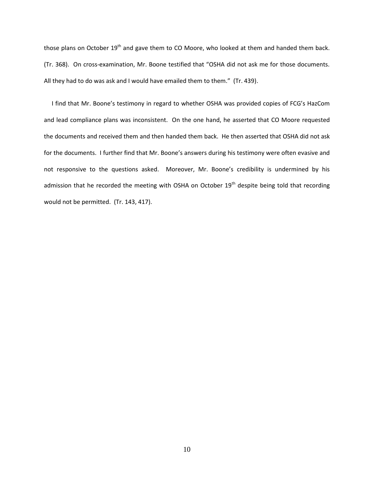those plans on October  $19<sup>th</sup>$  and gave them to CO Moore, who looked at them and handed them back. (Tr. 368). On cross-examination, Mr. Boone testified that "OSHA did not ask me for those documents. All they had to do was ask and I would have emailed them to them." (Tr. 439).

 I find that Mr. Boone's testimony in regard to whether OSHA was provided copies of FCG's HazCom and lead compliance plans was inconsistent. On the one hand, he asserted that CO Moore requested the documents and received them and then handed them back. He then asserted that OSHA did not ask for the documents. I further find that Mr. Boone's answers during his testimony were often evasive and not responsive to the questions asked. Moreover, Mr. Boone's credibility is undermined by his admission that he recorded the meeting with OSHA on October  $19<sup>th</sup>$  despite being told that recording would not be permitted. (Tr. 143, 417).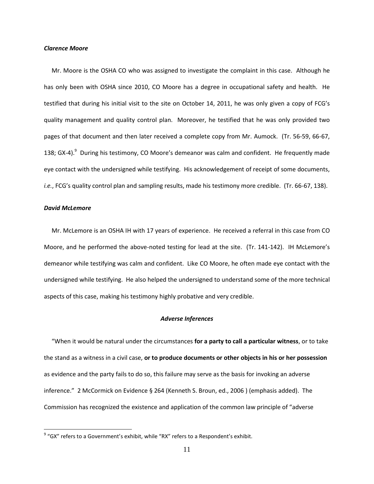#### *Clarence Moore*

 Mr. Moore is the OSHA CO who was assigned to investigate the complaint in this case. Although he has only been with OSHA since 2010, CO Moore has a degree in occupational safety and health. He testified that during his initial visit to the site on October 14, 2011, he was only given a copy of FCG's quality management and quality control plan. Moreover, he testified that he was only provided two pages of that document and then later received a complete copy from Mr. Aumock. (Tr. 56-59, 66-67, 138; GX-4).<sup>9</sup> During his testimony, CO Moore's demeanor was calm and confident. He frequently made eye contact with the undersigned while testifying. His acknowledgement of receipt of some documents, *i.e.*, FCG's quality control plan and sampling results, made his testimony more credible. (Tr. 66-67, 138).

## *David McLemore*

 $\overline{\phantom{a}}$ 

 Mr. McLemore is an OSHA IH with 17 years of experience. He received a referral in this case from CO Moore, and he performed the above-noted testing for lead at the site. (Tr. 141-142). IH McLemore's demeanor while testifying was calm and confident. Like CO Moore, he often made eye contact with the undersigned while testifying. He also helped the undersigned to understand some of the more technical aspects of this case, making his testimony highly probative and very credible.

## *Adverse Inferences*

 "When it would be natural under the circumstances **for a party to call a particular witness**, or to take the stand as a witness in a civil case, **or to produce documents or other objects in his or her possession** as evidence and the party fails to do so, this failure may serve as the basis for invoking an adverse inference." 2 McCormick on Evidence § 264 (Kenneth S. Broun, ed., 2006 ) (emphasis added). The Commission has recognized the existence and application of the common law principle of "adverse

 $^9$  "GX" refers to a Government's exhibit, while "RX" refers to a Respondent's exhibit.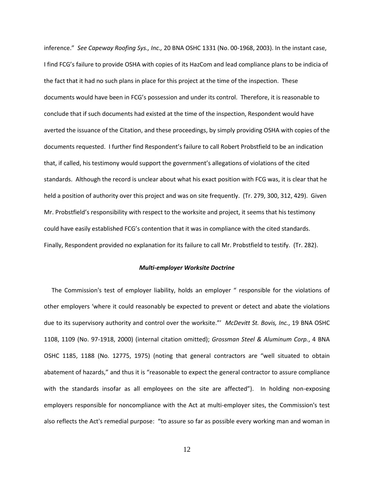inference." *See Capeway Roofing Sys., Inc.,* 20 BNA OSHC 1331 (No. 00-1968, 2003). In the instant case, I find FCG's failure to provide OSHA with copies of its HazCom and lead compliance plans to be indicia of the fact that it had no such plans in place for this project at the time of the inspection. These documents would have been in FCG's possession and under its control. Therefore, it is reasonable to conclude that if such documents had existed at the time of the inspection, Respondent would have averted the issuance of the Citation, and these proceedings, by simply providing OSHA with copies of the documents requested. I further find Respondent's failure to call Robert Probstfield to be an indication that, if called, his testimony would support the government's allegations of violations of the cited standards. Although the record is unclear about what his exact position with FCG was, it is clear that he held a position of authority over this project and was on site frequently. (Tr. 279, 300, 312, 429). Given Mr. Probstfield's responsibility with respect to the worksite and project, it seems that his testimony could have easily established FCG's contention that it was in compliance with the cited standards. Finally, Respondent provided no explanation for its failure to call Mr. Probstfield to testify. (Tr. 282).

#### *Multi-employer Worksite Doctrine*

 The Commission's test of employer liability, holds an employer " responsible for the violations of other employers 'where it could reasonably be expected to prevent or detect and abate the violations due to its supervisory authority and control over the worksite."' *McDevitt St. Bovis, Inc.*, 19 BNA OSHC 1108, 1109 (No. 97-1918, 2000) (internal citation omitted); *Grossman Steel & Aluminum Corp.*, 4 BNA OSHC 1185, 1188 (No. 12775, 1975) (noting that general contractors are "well situated to obtain abatement of hazards," and thus it is "reasonable to expect the general contractor to assure compliance with the standards insofar as all employees on the site are affected"). In holding non-exposing employers responsible for noncompliance with the Act at multi-employer sites, the Commission's test also reflects the Act's remedial purpose: "to assure so far as possible every working man and woman in

12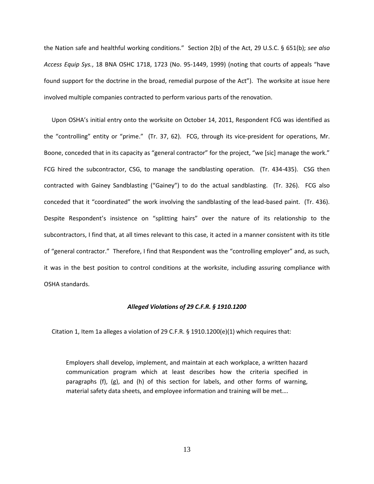the Nation safe and healthful working conditions." Section 2(b) of the Act, 29 U.S.C. § 651(b); *see also Access Equip Sys.*, 18 BNA OSHC 1718, 1723 (No. 95-1449, 1999) (noting that courts of appeals "have found support for the doctrine in the broad, remedial purpose of the Act"). The worksite at issue here involved multiple companies contracted to perform various parts of the renovation.

 Upon OSHA's initial entry onto the worksite on October 14, 2011, Respondent FCG was identified as the "controlling" entity or "prime." (Tr. 37, 62). FCG, through its vice-president for operations, Mr. Boone, conceded that in its capacity as "general contractor" for the project, "we [sic] manage the work." FCG hired the subcontractor, CSG, to manage the sandblasting operation. (Tr. 434-435). CSG then contracted with Gainey Sandblasting ("Gainey") to do the actual sandblasting. (Tr. 326). FCG also conceded that it "coordinated" the work involving the sandblasting of the lead-based paint. (Tr. 436). Despite Respondent's insistence on "splitting hairs" over the nature of its relationship to the subcontractors, I find that, at all times relevant to this case, it acted in a manner consistent with its title of "general contractor." Therefore, I find that Respondent was the "controlling employer" and, as such, it was in the best position to control conditions at the worksite, including assuring compliance with OSHA standards.

## *Alleged Violations of 29 C.F.R. § 1910.1200*

Citation 1, Item 1a alleges a violation of 29 C.F.R. § 1910.1200(e)(1) which requires that:

Employers shall develop, implement, and maintain at each workplace, a written hazard communication program which at least describes how the criteria specified in paragraphs (f), (g), and (h) of this section for labels, and other forms of warning, material safety data sheets, and employee information and training will be met….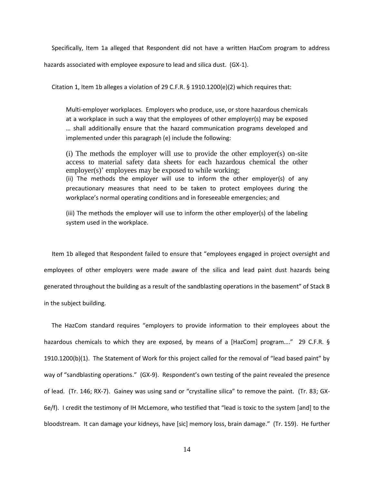Specifically, Item 1a alleged that Respondent did not have a written HazCom program to address

hazards associated with employee exposure to lead and silica dust. (GX-1).

Citation 1, Item 1b alleges a violation of 29 C.F.R. § 1910.1200(e)(2) which requires that:

Multi-employer workplaces. Employers who produce, use, or store hazardous chemicals at a workplace in such a way that the employees of other employer(s) may be exposed … shall additionally ensure that the hazard communication programs developed and implemented under this paragraph (e) include the following:

(i) The methods the employer will use to provide the other employer(s) on-site access to material safety data sheets for each hazardous chemical the other employer(s)' employees may be exposed to while working; (ii) The methods the employer will use to inform the other employer(s) of any precautionary measures that need to be taken to protect employees during the workplace's normal operating conditions and in foreseeable emergencies; and

(iii) The methods the employer will use to inform the other employer(s) of the labeling system used in the workplace.

 Item 1b alleged that Respondent failed to ensure that "employees engaged in project oversight and employees of other employers were made aware of the silica and lead paint dust hazards being generated throughout the building as a result of the sandblasting operations in the basement" of Stack B in the subject building.

 The HazCom standard requires "employers to provide information to their employees about the hazardous chemicals to which they are exposed, by means of a [HazCom] program...." 29 C.F.R. § 1910.1200(b)(1). The Statement of Work for this project called for the removal of "lead based paint" by way of "sandblasting operations." (GX-9). Respondent's own testing of the paint revealed the presence of lead. (Tr. 146; RX-7). Gainey was using sand or "crystalline silica" to remove the paint. (Tr. 83; GX-6e/f). I credit the testimony of IH McLemore, who testified that "lead is toxic to the system [and] to the bloodstream. It can damage your kidneys, have [sic] memory loss, brain damage." (Tr. 159). He further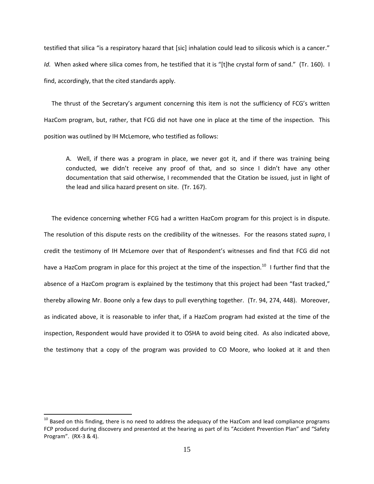testified that silica "is a respiratory hazard that [sic] inhalation could lead to silicosis which is a cancer." *Id.* When asked where silica comes from, he testified that it is "[t]he crystal form of sand." (Tr. 160). I find, accordingly, that the cited standards apply.

 The thrust of the Secretary's argument concerning this item is not the sufficiency of FCG's written HazCom program, but, rather, that FCG did not have one in place at the time of the inspection. This position was outlined by IH McLemore, who testified as follows:

A. Well, if there was a program in place, we never got it, and if there was training being conducted, we didn't receive any proof of that, and so since I didn't have any other documentation that said otherwise, I recommended that the Citation be issued, just in light of the lead and silica hazard present on site. (Tr. 167).

 The evidence concerning whether FCG had a written HazCom program for this project is in dispute. The resolution of this dispute rests on the credibility of the witnesses. For the reasons stated *supra*, I credit the testimony of IH McLemore over that of Respondent's witnesses and find that FCG did not have a HazCom program in place for this project at the time of the inspection.<sup>10</sup> I further find that the absence of a HazCom program is explained by the testimony that this project had been "fast tracked," thereby allowing Mr. Boone only a few days to pull everything together. (Tr. 94, 274, 448). Moreover, as indicated above, it is reasonable to infer that, if a HazCom program had existed at the time of the inspection, Respondent would have provided it to OSHA to avoid being cited. As also indicated above, the testimony that a copy of the program was provided to CO Moore, who looked at it and then

 $\overline{\phantom{a}}$ 

<sup>&</sup>lt;sup>10</sup> Based on this finding, there is no need to address the adequacy of the HazCom and lead compliance programs FCP produced during discovery and presented at the hearing as part of its "Accident Prevention Plan" and "Safety Program". (RX-3 & 4).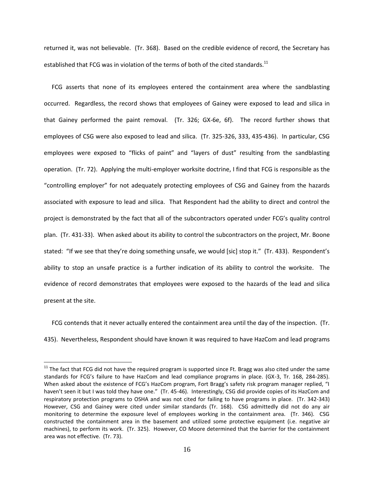returned it, was not believable. (Tr. 368). Based on the credible evidence of record, the Secretary has established that FCG was in violation of the terms of both of the cited standards.<sup>11</sup>

 FCG asserts that none of its employees entered the containment area where the sandblasting occurred. Regardless, the record shows that employees of Gainey were exposed to lead and silica in that Gainey performed the paint removal. (Tr. 326; GX-6e, 6f). The record further shows that employees of CSG were also exposed to lead and silica. (Tr. 325-326, 333, 435-436). In particular, CSG employees were exposed to "flicks of paint" and "layers of dust" resulting from the sandblasting operation. (Tr. 72). Applying the multi-employer worksite doctrine, I find that FCG is responsible as the "controlling employer" for not adequately protecting employees of CSG and Gainey from the hazards associated with exposure to lead and silica. That Respondent had the ability to direct and control the project is demonstrated by the fact that all of the subcontractors operated under FCG's quality control plan. (Tr. 431-33). When asked about its ability to control the subcontractors on the project, Mr. Boone stated: "If we see that they're doing something unsafe, we would [sic] stop it." (Tr. 433). Respondent's ability to stop an unsafe practice is a further indication of its ability to control the worksite. The evidence of record demonstrates that employees were exposed to the hazards of the lead and silica present at the site.

 FCG contends that it never actually entered the containment area until the day of the inspection. (Tr. 435). Nevertheless, Respondent should have known it was required to have HazCom and lead programs

 $\overline{\phantom{a}}$ 

 $11$  The fact that FCG did not have the required program is supported since Ft. Bragg was also cited under the same standards for FCG's failure to have HazCom and lead compliance programs in place. (GX-3, Tr. 168, 284-285). When asked about the existence of FCG's HazCom program, Fort Bragg's safety risk program manager replied, "I haven't seen it but I was told they have one." (Tr. 45-46). Interestingly, CSG did provide copies of its HazCom and respiratory protection programs to OSHA and was not cited for failing to have programs in place. (Tr. 342-343) However, CSG and Gainey were cited under similar standards (Tr. 168). CSG admittedly did not do any air monitoring to determine the exposure level of employees working in the containment area. (Tr. 346). CSG constructed the containment area in the basement and utilized some protective equipment (i.e. negative air machines), to perform its work. (Tr. 325). However, CO Moore determined that the barrier for the containment area was not effective. (Tr. 73).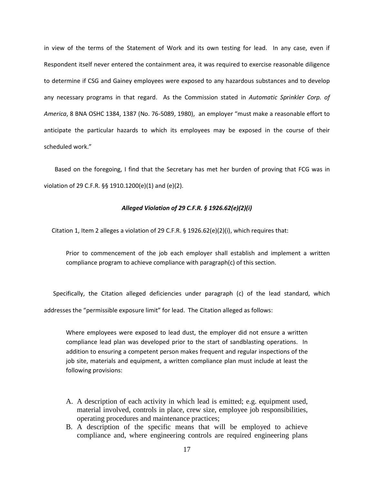in view of the terms of the Statement of Work and its own testing for lead. In any case, even if Respondent itself never entered the containment area, it was required to exercise reasonable diligence to determine if CSG and Gainey employees were exposed to any hazardous substances and to develop any necessary programs in that regard. As the Commission stated in *Automatic Sprinkler Corp. of America*, 8 BNA OSHC 1384, 1387 (No. 76-5089, 1980), an employer "must make a reasonable effort to anticipate the particular hazards to which its employees may be exposed in the course of their scheduled work."

 Based on the foregoing, I find that the Secretary has met her burden of proving that FCG was in violation of 29 C.F.R. §§ 1910.1200(e)(1) and (e)(2).

## *Alleged Violation of 29 C.F.R. § 1926.62(e)(2)(i)*

Citation 1, Item 2 alleges a violation of 29 C.F.R. § 1926.62(e)(2)(i), which requires that:

Prior to commencement of the job each employer shall establish and implement a written compliance program to achieve compliance with paragraph(c) of this section.

 Specifically, the Citation alleged deficiencies under paragraph (c) of the lead standard, which addresses the "permissible exposure limit" for lead. The Citation alleged as follows:

Where employees were exposed to lead dust, the employer did not ensure a written compliance lead plan was developed prior to the start of sandblasting operations. In addition to ensuring a competent person makes frequent and regular inspections of the job site, materials and equipment, a written compliance plan must include at least the following provisions:

- A. A description of each activity in which lead is emitted; e.g. equipment used, material involved, controls in place, crew size, employee job responsibilities, operating procedures and maintenance practices;
- B. A description of the specific means that will be employed to achieve compliance and, where engineering controls are required engineering plans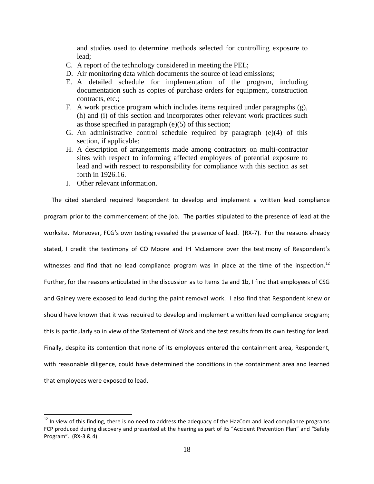and studies used to determine methods selected for controlling exposure to lead;

- C. A report of the technology considered in meeting the PEL;
- D. Air monitoring data which documents the source of lead emissions;
- E. A detailed schedule for implementation of the program, including documentation such as copies of purchase orders for equipment, construction contracts, etc.;
- F. A work practice program which includes items required under paragraphs (g), (h) and (i) of this section and incorporates other relevant work practices such as those specified in paragraph (e)(5) of this section;
- G. An administrative control schedule required by paragraph (e)(4) of this section, if applicable;
- H. A description of arrangements made among contractors on multi-contractor sites with respect to informing affected employees of potential exposure to lead and with respect to responsibility for compliance with this section as set forth in 1926.16.
- I. Other relevant information.

 $\overline{\phantom{a}}$ 

 The cited standard required Respondent to develop and implement a written lead compliance program prior to the commencement of the job. The parties stipulated to the presence of lead at the worksite. Moreover, FCG's own testing revealed the presence of lead. (RX-7). For the reasons already stated, I credit the testimony of CO Moore and IH McLemore over the testimony of Respondent's witnesses and find that no lead compliance program was in place at the time of the inspection.<sup>12</sup> Further, for the reasons articulated in the discussion as to Items 1a and 1b, I find that employees of CSG and Gainey were exposed to lead during the paint removal work. I also find that Respondent knew or should have known that it was required to develop and implement a written lead compliance program; this is particularly so in view of the Statement of Work and the test results from its own testing for lead. Finally, despite its contention that none of its employees entered the containment area, Respondent, with reasonable diligence, could have determined the conditions in the containment area and learned that employees were exposed to lead.

 $12$  In view of this finding, there is no need to address the adequacy of the HazCom and lead compliance programs FCP produced during discovery and presented at the hearing as part of its "Accident Prevention Plan" and "Safety Program". (RX-3 & 4).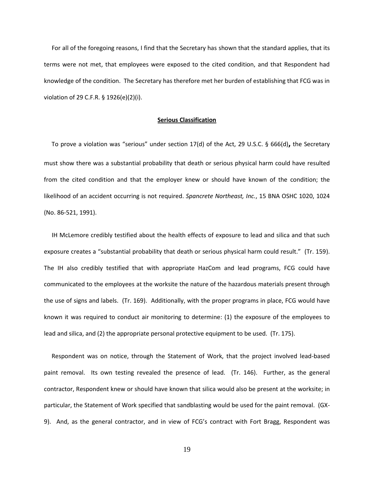For all of the foregoing reasons, I find that the Secretary has shown that the standard applies, that its terms were not met, that employees were exposed to the cited condition, and that Respondent had knowledge of the condition. The Secretary has therefore met her burden of establishing that FCG was in violation of 29 C.F.R. § 1926(e)(2)(i).

## **Serious Classification**

 To prove a violation was "serious" under section 17(d) of the Act, 29 U.S.C. § 666(d)**,** the Secretary must show there was a substantial probability that death or serious physical harm could have resulted from the cited condition and that the employer knew or should have known of the condition; the likelihood of an accident occurring is not required. *Spancrete Northeast, Inc.*, 15 BNA OSHC 1020, 1024 (No. 86-521, 1991).

 IH McLemore credibly testified about the health effects of exposure to lead and silica and that such exposure creates a "substantial probability that death or serious physical harm could result." (Tr. 159). The IH also credibly testified that with appropriate HazCom and lead programs, FCG could have communicated to the employees at the worksite the nature of the hazardous materials present through the use of signs and labels. (Tr. 169). Additionally, with the proper programs in place, FCG would have known it was required to conduct air monitoring to determine: (1) the exposure of the employees to lead and silica, and (2) the appropriate personal protective equipment to be used. (Tr. 175).

 Respondent was on notice, through the Statement of Work, that the project involved lead-based paint removal. Its own testing revealed the presence of lead. (Tr. 146). Further, as the general contractor, Respondent knew or should have known that silica would also be present at the worksite; in particular, the Statement of Work specified that sandblasting would be used for the paint removal. (GX-9). And, as the general contractor, and in view of FCG's contract with Fort Bragg, Respondent was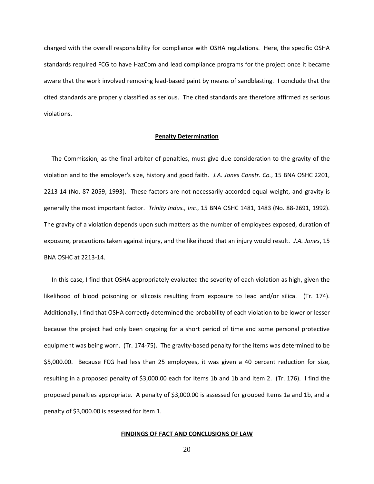charged with the overall responsibility for compliance with OSHA regulations. Here, the specific OSHA standards required FCG to have HazCom and lead compliance programs for the project once it became aware that the work involved removing lead-based paint by means of sandblasting. I conclude that the cited standards are properly classified as serious. The cited standards are therefore affirmed as serious violations.

#### **Penalty Determination**

The Commission, as the final arbiter of penalties, must give due consideration to the gravity of the violation and to the employer's size, history and good faith. *J.A. Jones Constr. Co.*, 15 BNA OSHC 2201, 2213-14 (No. 87-2059, 1993). These factors are not necessarily accorded equal weight, and gravity is generally the most important factor. *Trinity Indus., Inc.*, 15 BNA OSHC 1481, 1483 (No. 88-2691, 1992). The gravity of a violation depends upon such matters as the number of employees exposed, duration of exposure, precautions taken against injury, and the likelihood that an injury would result. *J.A. Jones*, 15 BNA OSHC at 2213-14.

 In this case, I find that OSHA appropriately evaluated the severity of each violation as high, given the likelihood of blood poisoning or silicosis resulting from exposure to lead and/or silica. (Tr. 174). Additionally, I find that OSHA correctly determined the probability of each violation to be lower or lesser because the project had only been ongoing for a short period of time and some personal protective equipment was being worn. (Tr. 174-75). The gravity-based penalty for the items was determined to be \$5,000.00. Because FCG had less than 25 employees, it was given a 40 percent reduction for size, resulting in a proposed penalty of \$3,000.00 each for Items 1b and 1b and Item 2. (Tr. 176). I find the proposed penalties appropriate. A penalty of \$3,000.00 is assessed for grouped Items 1a and 1b, and a penalty of \$3,000.00 is assessed for Item 1.

## **FINDINGS OF FACT AND CONCLUSIONS OF LAW**